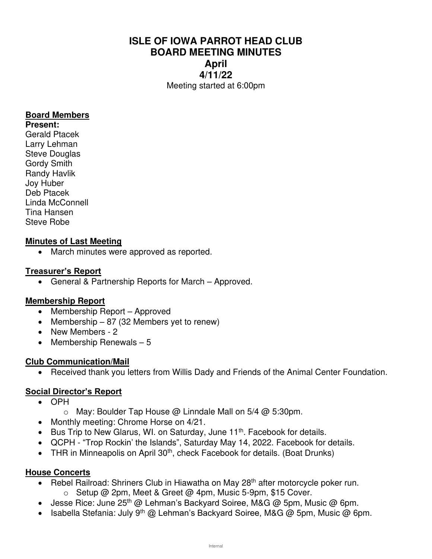# **ISLE OF IOWA PARROT HEAD CLUB BOARD MEETING MINUTES April 4/11/22**  Meeting started at 6:00pm

#### **Board Members**

**Present:**  Gerald Ptacek Larry Lehman Steve Douglas Gordy Smith Randy Havlik Joy Huber Deb Ptacek Linda McConnell Tina Hansen Steve Robe

### **Minutes of Last Meeting**

• March minutes were approved as reported.

#### **Treasurer's Report**

• General & Partnership Reports for March – Approved.

### **Membership Report**

- Membership Report Approved
- Membership  $-87$  (32 Members yet to renew)
- New Members 2
- Membership Renewals 5

#### **Club Communication/Mail**

• Received thank you letters from Willis Dady and Friends of the Animal Center Foundation.

### **Social Director's Report**

- OPH
	- $\circ$  May: Boulder Tap House @ Linndale Mall on 5/4 @ 5:30pm.
- Monthly meeting: Chrome Horse on 4/21.
- Bus Trip to New Glarus, WI. on Saturday, June 11<sup>th</sup>. Facebook for details.
- QCPH "Trop Rockin' the Islands", Saturday May 14, 2022. Facebook for details.
- THR in Minneapolis on April 30<sup>th</sup>, check Facebook for details. (Boat Drunks)

### **House Concerts**

- Rebel Railroad: Shriners Club in Hiawatha on May 28<sup>th</sup> after motorcycle poker run.
	- o Setup @ 2pm, Meet & Greet @ 4pm, Music 5-9pm, \$15 Cover.
- Jesse Rice: June  $25<sup>th</sup>$  @ Lehman's Backyard Soiree, M&G @ 5pm, Music @ 6pm.
- Isabella Stefania: July 9<sup>th</sup> @ Lehman's Backyard Soiree, M&G @ 5pm, Music @ 6pm.